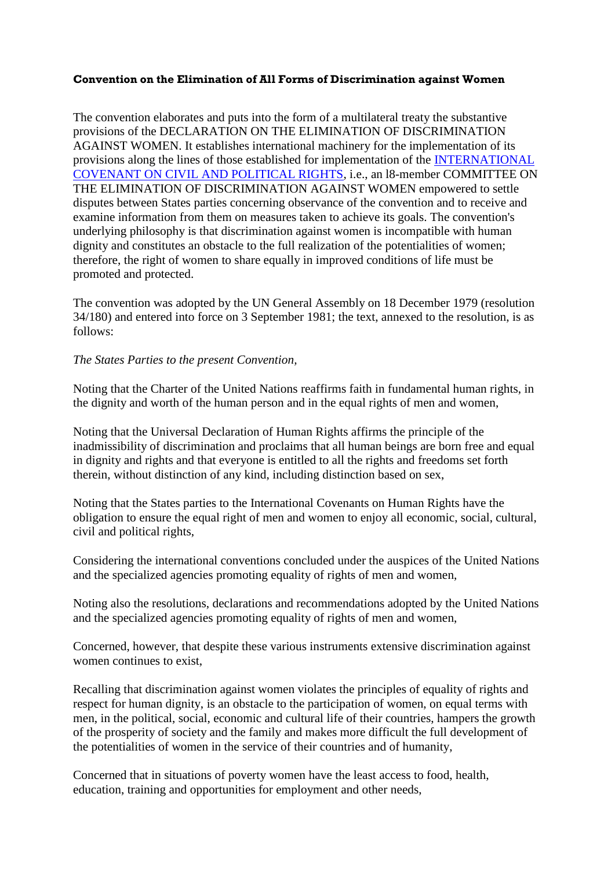#### **Convention on the Elimination of All Forms of Discrimination against Women**

The convention elaborates and puts into the form of a multilateral treaty the substantive provisions of the DECLARATION ON THE ELIMINATION OF DISCRIMINATION AGAINST WOMEN. It establishes international machinery for the implementation of its provisions along the lines of those established for implementation of the [INTERNATIONAL](http://www.hrweb.org/legal/cpr.html)  [COVENANT ON CIVIL AND POLITICAL RIGHTS,](http://www.hrweb.org/legal/cpr.html) i.e., an l8-member COMMITTEE ON THE ELIMINATION OF DISCRIMINATION AGAINST WOMEN empowered to settle disputes between States parties concerning observance of the convention and to receive and examine information from them on measures taken to achieve its goals. The convention's underlying philosophy is that discrimination against women is incompatible with human dignity and constitutes an obstacle to the full realization of the potentialities of women; therefore, the right of women to share equally in improved conditions of life must be promoted and protected.

The convention was adopted by the UN General Assembly on 18 December 1979 (resolution 34/180) and entered into force on 3 September 1981; the text, annexed to the resolution, is as follows:

#### *The States Parties to the present Convention,*

Noting that the Charter of the United Nations reaffirms faith in fundamental human rights, in the dignity and worth of the human person and in the equal rights of men and women,

Noting that the Universal Declaration of Human Rights affirms the principle of the inadmissibility of discrimination and proclaims that all human beings are born free and equal in dignity and rights and that everyone is entitled to all the rights and freedoms set forth therein, without distinction of any kind, including distinction based on sex,

Noting that the States parties to the International Covenants on Human Rights have the obligation to ensure the equal right of men and women to enjoy all economic, social, cultural, civil and political rights,

Considering the international conventions concluded under the auspices of the United Nations and the specialized agencies promoting equality of rights of men and women,

Noting also the resolutions, declarations and recommendations adopted by the United Nations and the specialized agencies promoting equality of rights of men and women,

Concerned, however, that despite these various instruments extensive discrimination against women continues to exist,

Recalling that discrimination against women violates the principles of equality of rights and respect for human dignity, is an obstacle to the participation of women, on equal terms with men, in the political, social, economic and cultural life of their countries, hampers the growth of the prosperity of society and the family and makes more difficult the full development of the potentialities of women in the service of their countries and of humanity,

Concerned that in situations of poverty women have the least access to food, health, education, training and opportunities for employment and other needs,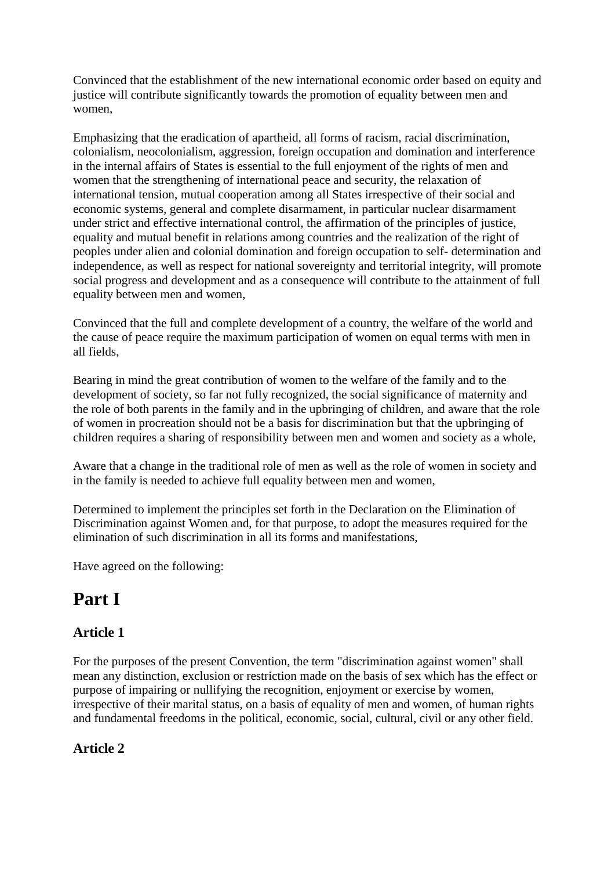Convinced that the establishment of the new international economic order based on equity and justice will contribute significantly towards the promotion of equality between men and women,

Emphasizing that the eradication of apartheid, all forms of racism, racial discrimination, colonialism, neocolonialism, aggression, foreign occupation and domination and interference in the internal affairs of States is essential to the full enjoyment of the rights of men and women that the strengthening of international peace and security, the relaxation of international tension, mutual cooperation among all States irrespective of their social and economic systems, general and complete disarmament, in particular nuclear disarmament under strict and effective international control, the affirmation of the principles of justice, equality and mutual benefit in relations among countries and the realization of the right of peoples under alien and colonial domination and foreign occupation to self- determination and independence, as well as respect for national sovereignty and territorial integrity, will promote social progress and development and as a consequence will contribute to the attainment of full equality between men and women,

Convinced that the full and complete development of a country, the welfare of the world and the cause of peace require the maximum participation of women on equal terms with men in all fields,

Bearing in mind the great contribution of women to the welfare of the family and to the development of society, so far not fully recognized, the social significance of maternity and the role of both parents in the family and in the upbringing of children, and aware that the role of women in procreation should not be a basis for discrimination but that the upbringing of children requires a sharing of responsibility between men and women and society as a whole,

Aware that a change in the traditional role of men as well as the role of women in society and in the family is needed to achieve full equality between men and women,

Determined to implement the principles set forth in the Declaration on the Elimination of Discrimination against Women and, for that purpose, to adopt the measures required for the elimination of such discrimination in all its forms and manifestations,

Have agreed on the following:

# **Part I**

### **Article 1**

For the purposes of the present Convention, the term "discrimination against women" shall mean any distinction, exclusion or restriction made on the basis of sex which has the effect or purpose of impairing or nullifying the recognition, enjoyment or exercise by women, irrespective of their marital status, on a basis of equality of men and women, of human rights and fundamental freedoms in the political, economic, social, cultural, civil or any other field.

### **Article 2**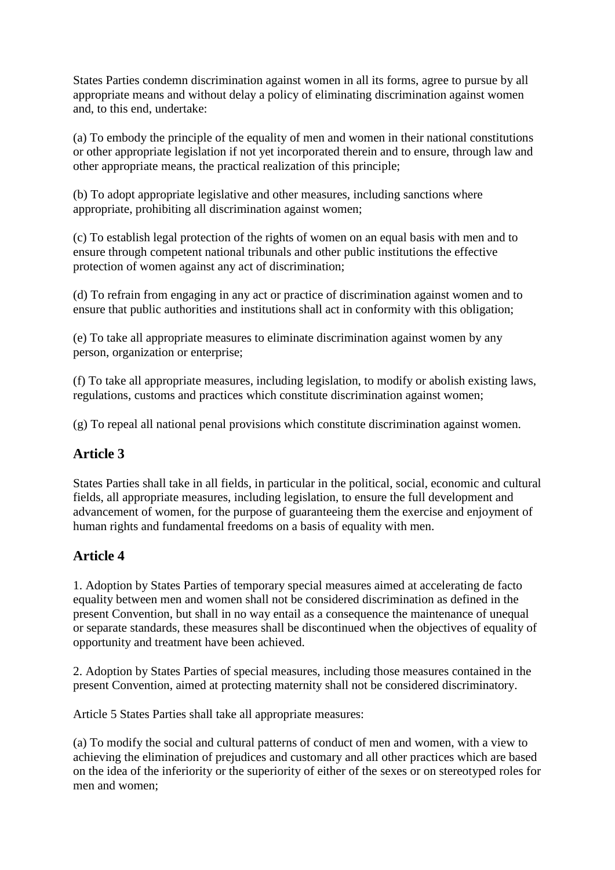States Parties condemn discrimination against women in all its forms, agree to pursue by all appropriate means and without delay a policy of eliminating discrimination against women and, to this end, undertake:

(a) To embody the principle of the equality of men and women in their national constitutions or other appropriate legislation if not yet incorporated therein and to ensure, through law and other appropriate means, the practical realization of this principle;

(b) To adopt appropriate legislative and other measures, including sanctions where appropriate, prohibiting all discrimination against women;

(c) To establish legal protection of the rights of women on an equal basis with men and to ensure through competent national tribunals and other public institutions the effective protection of women against any act of discrimination;

(d) To refrain from engaging in any act or practice of discrimination against women and to ensure that public authorities and institutions shall act in conformity with this obligation;

(e) To take all appropriate measures to eliminate discrimination against women by any person, organization or enterprise;

(f) To take all appropriate measures, including legislation, to modify or abolish existing laws, regulations, customs and practices which constitute discrimination against women;

(g) To repeal all national penal provisions which constitute discrimination against women.

#### **Article 3**

States Parties shall take in all fields, in particular in the political, social, economic and cultural fields, all appropriate measures, including legislation, to ensure the full development and advancement of women, for the purpose of guaranteeing them the exercise and enjoyment of human rights and fundamental freedoms on a basis of equality with men.

#### **Article 4**

1. Adoption by States Parties of temporary special measures aimed at accelerating de facto equality between men and women shall not be considered discrimination as defined in the present Convention, but shall in no way entail as a consequence the maintenance of unequal or separate standards, these measures shall be discontinued when the objectives of equality of opportunity and treatment have been achieved.

2. Adoption by States Parties of special measures, including those measures contained in the present Convention, aimed at protecting maternity shall not be considered discriminatory.

Article 5 States Parties shall take all appropriate measures:

(a) To modify the social and cultural patterns of conduct of men and women, with a view to achieving the elimination of prejudices and customary and all other practices which are based on the idea of the inferiority or the superiority of either of the sexes or on stereotyped roles for men and women;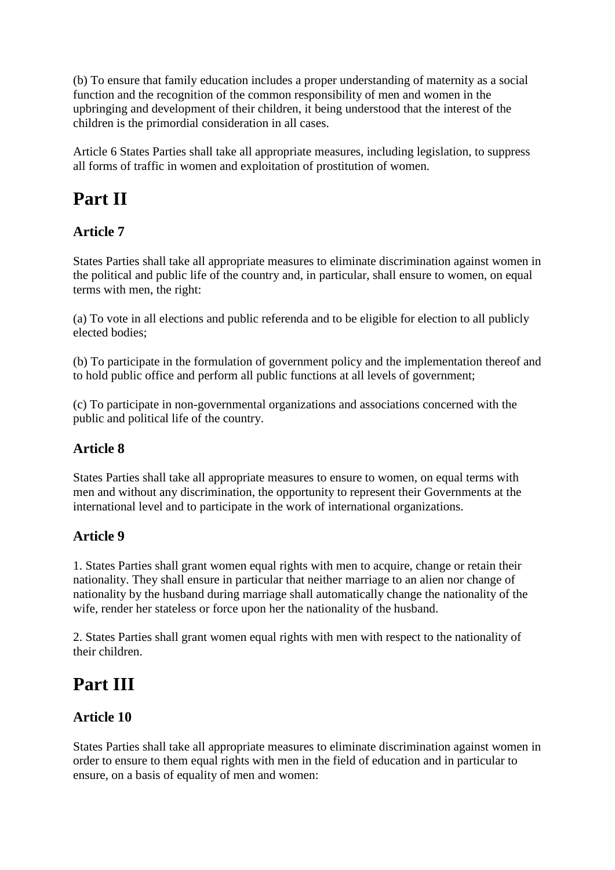(b) To ensure that family education includes a proper understanding of maternity as a social function and the recognition of the common responsibility of men and women in the upbringing and development of their children, it being understood that the interest of the children is the primordial consideration in all cases.

Article 6 States Parties shall take all appropriate measures, including legislation, to suppress all forms of traffic in women and exploitation of prostitution of women.

# **Part II**

### **Article 7**

States Parties shall take all appropriate measures to eliminate discrimination against women in the political and public life of the country and, in particular, shall ensure to women, on equal terms with men, the right:

(a) To vote in all elections and public referenda and to be eligible for election to all publicly elected bodies;

(b) To participate in the formulation of government policy and the implementation thereof and to hold public office and perform all public functions at all levels of government;

(c) To participate in non-governmental organizations and associations concerned with the public and political life of the country.

### **Article 8**

States Parties shall take all appropriate measures to ensure to women, on equal terms with men and without any discrimination, the opportunity to represent their Governments at the international level and to participate in the work of international organizations.

### **Article 9**

1. States Parties shall grant women equal rights with men to acquire, change or retain their nationality. They shall ensure in particular that neither marriage to an alien nor change of nationality by the husband during marriage shall automatically change the nationality of the wife, render her stateless or force upon her the nationality of the husband.

2. States Parties shall grant women equal rights with men with respect to the nationality of their children.

# **Part III**

### **Article 10**

States Parties shall take all appropriate measures to eliminate discrimination against women in order to ensure to them equal rights with men in the field of education and in particular to ensure, on a basis of equality of men and women: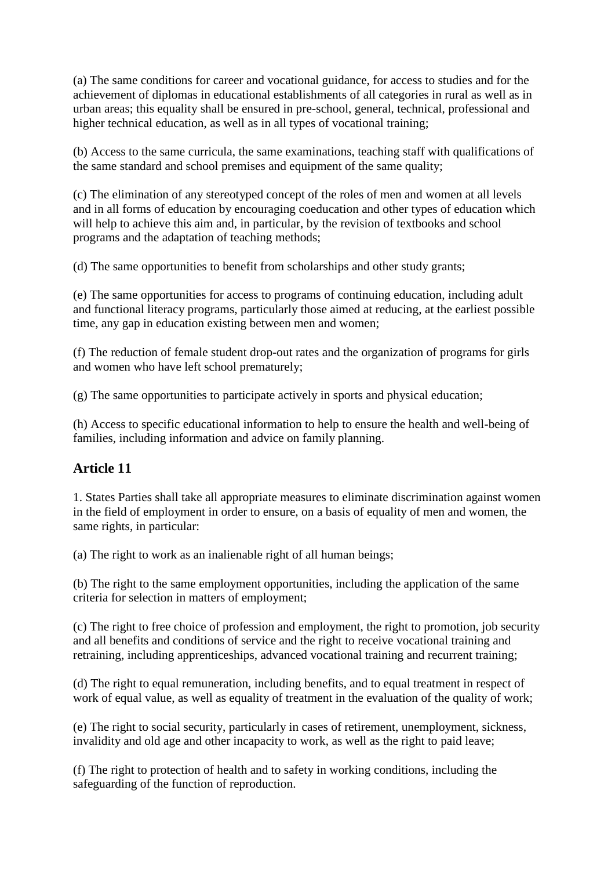(a) The same conditions for career and vocational guidance, for access to studies and for the achievement of diplomas in educational establishments of all categories in rural as well as in urban areas; this equality shall be ensured in pre-school, general, technical, professional and higher technical education, as well as in all types of vocational training;

(b) Access to the same curricula, the same examinations, teaching staff with qualifications of the same standard and school premises and equipment of the same quality;

(c) The elimination of any stereotyped concept of the roles of men and women at all levels and in all forms of education by encouraging coeducation and other types of education which will help to achieve this aim and, in particular, by the revision of textbooks and school programs and the adaptation of teaching methods;

(d) The same opportunities to benefit from scholarships and other study grants;

(e) The same opportunities for access to programs of continuing education, including adult and functional literacy programs, particularly those aimed at reducing, at the earliest possible time, any gap in education existing between men and women;

(f) The reduction of female student drop-out rates and the organization of programs for girls and women who have left school prematurely;

(g) The same opportunities to participate actively in sports and physical education;

(h) Access to specific educational information to help to ensure the health and well-being of families, including information and advice on family planning.

### **Article 11**

1. States Parties shall take all appropriate measures to eliminate discrimination against women in the field of employment in order to ensure, on a basis of equality of men and women, the same rights, in particular:

(a) The right to work as an inalienable right of all human beings;

(b) The right to the same employment opportunities, including the application of the same criteria for selection in matters of employment;

(c) The right to free choice of profession and employment, the right to promotion, job security and all benefits and conditions of service and the right to receive vocational training and retraining, including apprenticeships, advanced vocational training and recurrent training;

(d) The right to equal remuneration, including benefits, and to equal treatment in respect of work of equal value, as well as equality of treatment in the evaluation of the quality of work;

(e) The right to social security, particularly in cases of retirement, unemployment, sickness, invalidity and old age and other incapacity to work, as well as the right to paid leave;

(f) The right to protection of health and to safety in working conditions, including the safeguarding of the function of reproduction.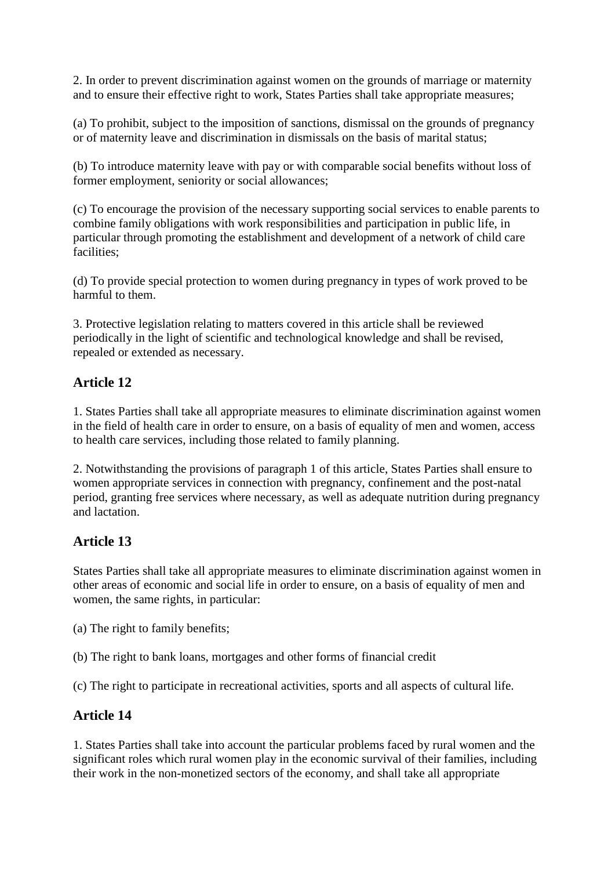2. In order to prevent discrimination against women on the grounds of marriage or maternity and to ensure their effective right to work, States Parties shall take appropriate measures;

(a) To prohibit, subject to the imposition of sanctions, dismissal on the grounds of pregnancy or of maternity leave and discrimination in dismissals on the basis of marital status;

(b) To introduce maternity leave with pay or with comparable social benefits without loss of former employment, seniority or social allowances;

(c) To encourage the provision of the necessary supporting social services to enable parents to combine family obligations with work responsibilities and participation in public life, in particular through promoting the establishment and development of a network of child care facilities;

(d) To provide special protection to women during pregnancy in types of work proved to be harmful to them.

3. Protective legislation relating to matters covered in this article shall be reviewed periodically in the light of scientific and technological knowledge and shall be revised, repealed or extended as necessary.

#### **Article 12**

1. States Parties shall take all appropriate measures to eliminate discrimination against women in the field of health care in order to ensure, on a basis of equality of men and women, access to health care services, including those related to family planning.

2. Notwithstanding the provisions of paragraph 1 of this article, States Parties shall ensure to women appropriate services in connection with pregnancy, confinement and the post-natal period, granting free services where necessary, as well as adequate nutrition during pregnancy and lactation.

#### **Article 13**

States Parties shall take all appropriate measures to eliminate discrimination against women in other areas of economic and social life in order to ensure, on a basis of equality of men and women, the same rights, in particular:

(a) The right to family benefits;

(b) The right to bank loans, mortgages and other forms of financial credit

(c) The right to participate in recreational activities, sports and all aspects of cultural life.

#### **Article 14**

1. States Parties shall take into account the particular problems faced by rural women and the significant roles which rural women play in the economic survival of their families, including their work in the non-monetized sectors of the economy, and shall take all appropriate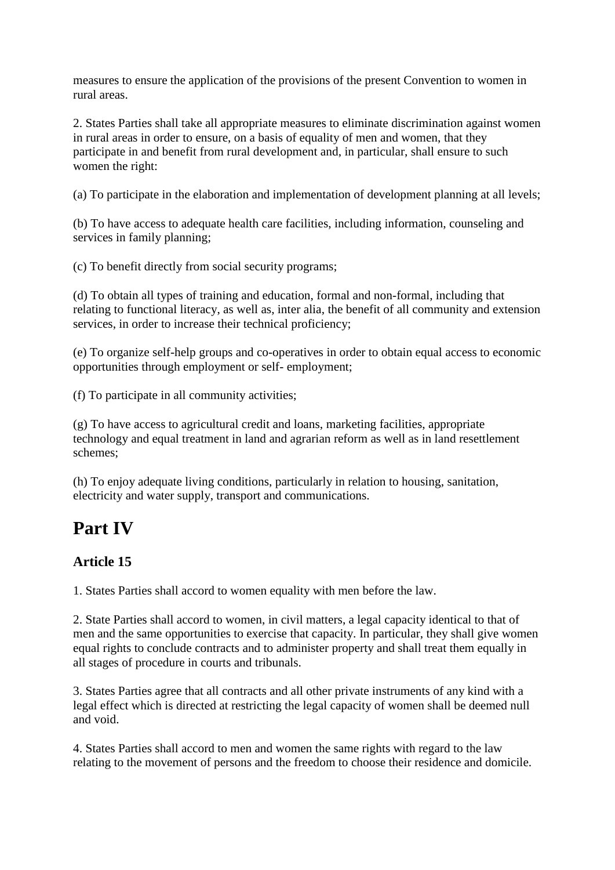measures to ensure the application of the provisions of the present Convention to women in rural areas.

2. States Parties shall take all appropriate measures to eliminate discrimination against women in rural areas in order to ensure, on a basis of equality of men and women, that they participate in and benefit from rural development and, in particular, shall ensure to such women the right:

(a) To participate in the elaboration and implementation of development planning at all levels;

(b) To have access to adequate health care facilities, including information, counseling and services in family planning;

(c) To benefit directly from social security programs;

(d) To obtain all types of training and education, formal and non-formal, including that relating to functional literacy, as well as, inter alia, the benefit of all community and extension services, in order to increase their technical proficiency;

(e) To organize self-help groups and co-operatives in order to obtain equal access to economic opportunities through employment or self- employment;

(f) To participate in all community activities;

(g) To have access to agricultural credit and loans, marketing facilities, appropriate technology and equal treatment in land and agrarian reform as well as in land resettlement schemes;

(h) To enjoy adequate living conditions, particularly in relation to housing, sanitation, electricity and water supply, transport and communications.

# **Part IV**

#### **Article 15**

1. States Parties shall accord to women equality with men before the law.

2. State Parties shall accord to women, in civil matters, a legal capacity identical to that of men and the same opportunities to exercise that capacity. In particular, they shall give women equal rights to conclude contracts and to administer property and shall treat them equally in all stages of procedure in courts and tribunals.

3. States Parties agree that all contracts and all other private instruments of any kind with a legal effect which is directed at restricting the legal capacity of women shall be deemed null and void.

4. States Parties shall accord to men and women the same rights with regard to the law relating to the movement of persons and the freedom to choose their residence and domicile.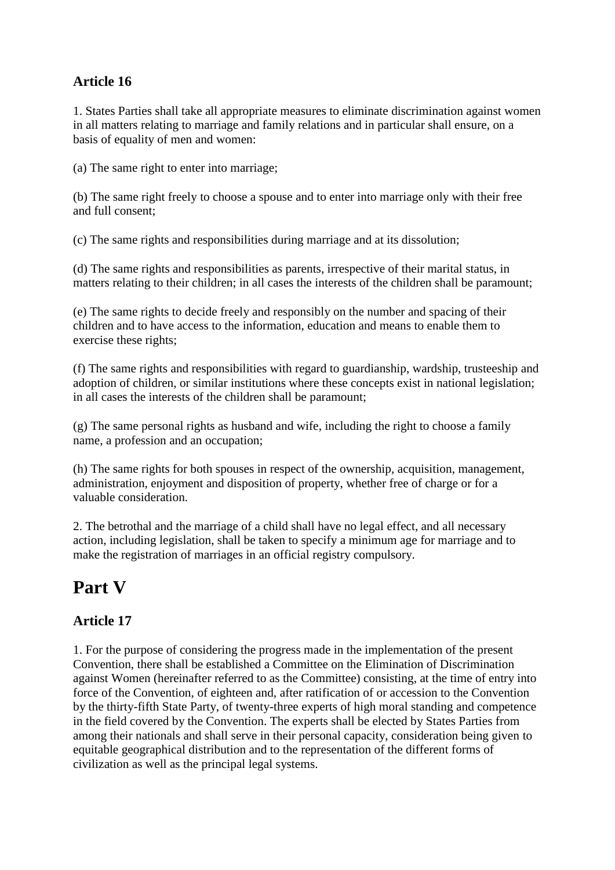### **Article 16**

1. States Parties shall take all appropriate measures to eliminate discrimination against women in all matters relating to marriage and family relations and in particular shall ensure, on a basis of equality of men and women:

(a) The same right to enter into marriage;

(b) The same right freely to choose a spouse and to enter into marriage only with their free and full consent;

(c) The same rights and responsibilities during marriage and at its dissolution;

(d) The same rights and responsibilities as parents, irrespective of their marital status, in matters relating to their children; in all cases the interests of the children shall be paramount;

(e) The same rights to decide freely and responsibly on the number and spacing of their children and to have access to the information, education and means to enable them to exercise these rights;

(f) The same rights and responsibilities with regard to guardianship, wardship, trusteeship and adoption of children, or similar institutions where these concepts exist in national legislation; in all cases the interests of the children shall be paramount;

(g) The same personal rights as husband and wife, including the right to choose a family name, a profession and an occupation;

(h) The same rights for both spouses in respect of the ownership, acquisition, management, administration, enjoyment and disposition of property, whether free of charge or for a valuable consideration.

2. The betrothal and the marriage of a child shall have no legal effect, and all necessary action, including legislation, shall be taken to specify a minimum age for marriage and to make the registration of marriages in an official registry compulsory.

# **Part V**

#### **Article 17**

1. For the purpose of considering the progress made in the implementation of the present Convention, there shall be established a Committee on the Elimination of Discrimination against Women (hereinafter referred to as the Committee) consisting, at the time of entry into force of the Convention, of eighteen and, after ratification of or accession to the Convention by the thirty-fifth State Party, of twenty-three experts of high moral standing and competence in the field covered by the Convention. The experts shall be elected by States Parties from among their nationals and shall serve in their personal capacity, consideration being given to equitable geographical distribution and to the representation of the different forms of civilization as well as the principal legal systems.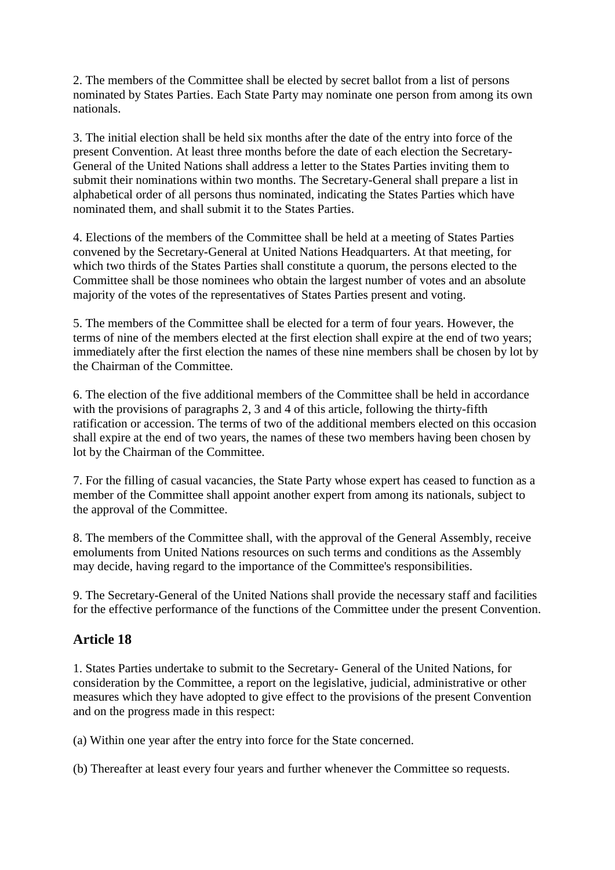2. The members of the Committee shall be elected by secret ballot from a list of persons nominated by States Parties. Each State Party may nominate one person from among its own nationals.

3. The initial election shall be held six months after the date of the entry into force of the present Convention. At least three months before the date of each election the Secretary-General of the United Nations shall address a letter to the States Parties inviting them to submit their nominations within two months. The Secretary-General shall prepare a list in alphabetical order of all persons thus nominated, indicating the States Parties which have nominated them, and shall submit it to the States Parties.

4. Elections of the members of the Committee shall be held at a meeting of States Parties convened by the Secretary-General at United Nations Headquarters. At that meeting, for which two thirds of the States Parties shall constitute a quorum, the persons elected to the Committee shall be those nominees who obtain the largest number of votes and an absolute majority of the votes of the representatives of States Parties present and voting.

5. The members of the Committee shall be elected for a term of four years. However, the terms of nine of the members elected at the first election shall expire at the end of two years; immediately after the first election the names of these nine members shall be chosen by lot by the Chairman of the Committee.

6. The election of the five additional members of the Committee shall be held in accordance with the provisions of paragraphs 2, 3 and 4 of this article, following the thirty-fifth ratification or accession. The terms of two of the additional members elected on this occasion shall expire at the end of two years, the names of these two members having been chosen by lot by the Chairman of the Committee.

7. For the filling of casual vacancies, the State Party whose expert has ceased to function as a member of the Committee shall appoint another expert from among its nationals, subject to the approval of the Committee.

8. The members of the Committee shall, with the approval of the General Assembly, receive emoluments from United Nations resources on such terms and conditions as the Assembly may decide, having regard to the importance of the Committee's responsibilities.

9. The Secretary-General of the United Nations shall provide the necessary staff and facilities for the effective performance of the functions of the Committee under the present Convention.

#### **Article 18**

1. States Parties undertake to submit to the Secretary- General of the United Nations, for consideration by the Committee, a report on the legislative, judicial, administrative or other measures which they have adopted to give effect to the provisions of the present Convention and on the progress made in this respect:

(a) Within one year after the entry into force for the State concerned.

(b) Thereafter at least every four years and further whenever the Committee so requests.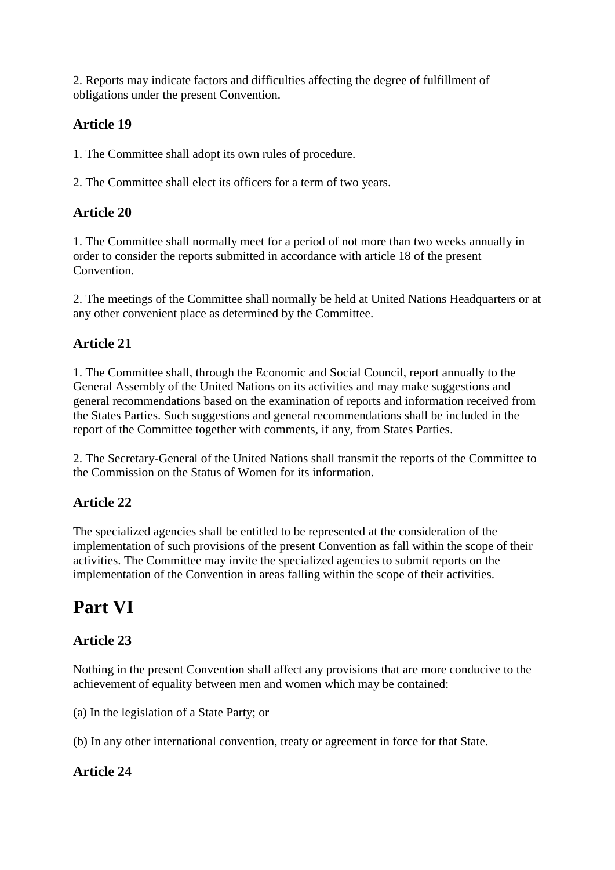2. Reports may indicate factors and difficulties affecting the degree of fulfillment of obligations under the present Convention.

#### **Article 19**

1. The Committee shall adopt its own rules of procedure.

2. The Committee shall elect its officers for a term of two years.

#### **Article 20**

1. The Committee shall normally meet for a period of not more than two weeks annually in order to consider the reports submitted in accordance with article 18 of the present Convention.

2. The meetings of the Committee shall normally be held at United Nations Headquarters or at any other convenient place as determined by the Committee.

### **Article 21**

1. The Committee shall, through the Economic and Social Council, report annually to the General Assembly of the United Nations on its activities and may make suggestions and general recommendations based on the examination of reports and information received from the States Parties. Such suggestions and general recommendations shall be included in the report of the Committee together with comments, if any, from States Parties.

2. The Secretary-General of the United Nations shall transmit the reports of the Committee to the Commission on the Status of Women for its information.

### **Article 22**

The specialized agencies shall be entitled to be represented at the consideration of the implementation of such provisions of the present Convention as fall within the scope of their activities. The Committee may invite the specialized agencies to submit reports on the implementation of the Convention in areas falling within the scope of their activities.

# **Part VI**

### **Article 23**

Nothing in the present Convention shall affect any provisions that are more conducive to the achievement of equality between men and women which may be contained:

(a) In the legislation of a State Party; or

(b) In any other international convention, treaty or agreement in force for that State.

#### **Article 24**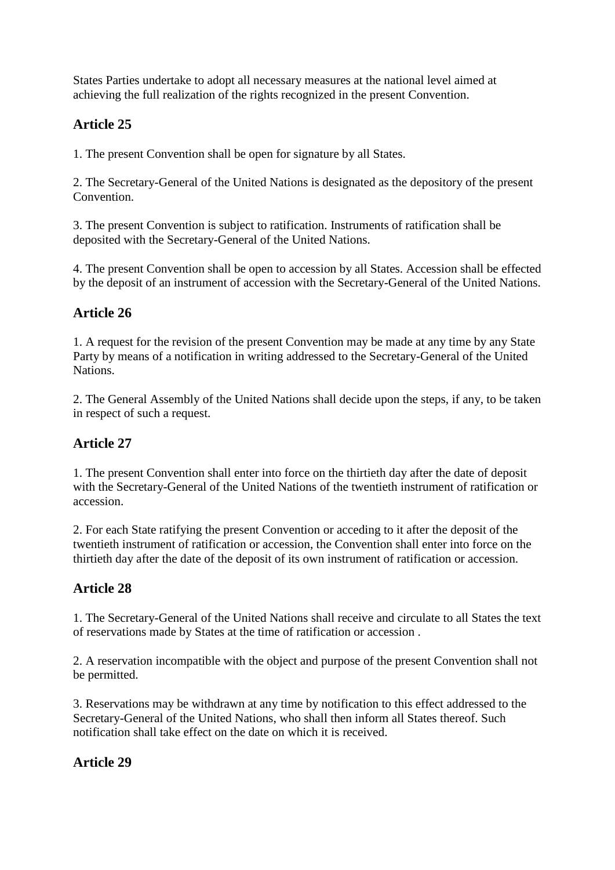States Parties undertake to adopt all necessary measures at the national level aimed at achieving the full realization of the rights recognized in the present Convention.

### **Article 25**

1. The present Convention shall be open for signature by all States.

2. The Secretary-General of the United Nations is designated as the depository of the present Convention.

3. The present Convention is subject to ratification. Instruments of ratification shall be deposited with the Secretary-General of the United Nations.

4. The present Convention shall be open to accession by all States. Accession shall be effected by the deposit of an instrument of accession with the Secretary-General of the United Nations.

#### **Article 26**

1. A request for the revision of the present Convention may be made at any time by any State Party by means of a notification in writing addressed to the Secretary-General of the United Nations.

2. The General Assembly of the United Nations shall decide upon the steps, if any, to be taken in respect of such a request.

### **Article 27**

1. The present Convention shall enter into force on the thirtieth day after the date of deposit with the Secretary-General of the United Nations of the twentieth instrument of ratification or accession.

2. For each State ratifying the present Convention or acceding to it after the deposit of the twentieth instrument of ratification or accession, the Convention shall enter into force on the thirtieth day after the date of the deposit of its own instrument of ratification or accession.

### **Article 28**

1. The Secretary-General of the United Nations shall receive and circulate to all States the text of reservations made by States at the time of ratification or accession .

2. A reservation incompatible with the object and purpose of the present Convention shall not be permitted.

3. Reservations may be withdrawn at any time by notification to this effect addressed to the Secretary-General of the United Nations, who shall then inform all States thereof. Such notification shall take effect on the date on which it is received.

#### **Article 29**